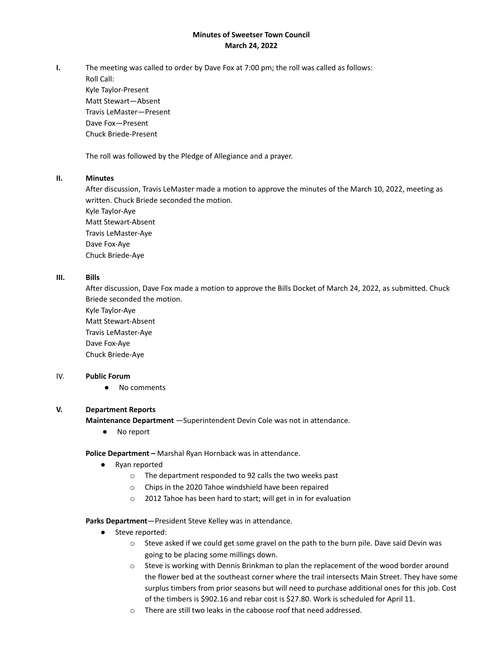# **Minutes of Sweetser Town Council March 24, 2022**

**I.** The meeting was called to order by Dave Fox at 7:00 pm; the roll was called as follows:

Roll Call: Kyle Taylor-Present Matt Stewart—Absent Travis LeMaster—Present Dave Fox—Present Chuck Briede-Present

The roll was followed by the Pledge of Allegiance and a prayer.

### **II. Minutes**

After discussion, Travis LeMaster made a motion to approve the minutes of the March 10, 2022, meeting as written. Chuck Briede seconded the motion.

Kyle Taylor-Aye Matt Stewart-Absent Travis LeMaster-Aye Dave Fox-Aye Chuck Briede-Aye

# **III. Bills**

After discussion, Dave Fox made a motion to approve the Bills Docket of March 24, 2022, as submitted. Chuck Briede seconded the motion.

Kyle Taylor-Aye Matt Stewart-Absent Travis LeMaster-Aye Dave Fox-Aye Chuck Briede-Aye

### IV. **Public Forum**

● No comments

# **V. Department Reports**

**Maintenance Department** —Superintendent Devin Cole was not in attendance.

● No report

**Police Department –** Marshal Ryan Hornback was in attendance.

- Ryan reported
	- o The department responded to 92 calls the two weeks past
	- o Chips in the 2020 Tahoe windshield have been repaired
	- o 2012 Tahoe has been hard to start; will get in in for evaluation

### **Parks Department**—President Steve Kelley was in attendance.

- Steve reported:
	- o Steve asked if we could get some gravel on the path to the burn pile. Dave said Devin was going to be placing some millings down.
	- $\circ$  Steve is working with Dennis Brinkman to plan the replacement of the wood border around the flower bed at the southeast corner where the trail intersects Main Street. They have some surplus timbers from prior seasons but will need to purchase additional ones for this job. Cost of the timbers is \$902.16 and rebar cost is \$27.80. Work is scheduled for April 11.
	- o There are still two leaks in the caboose roof that need addressed.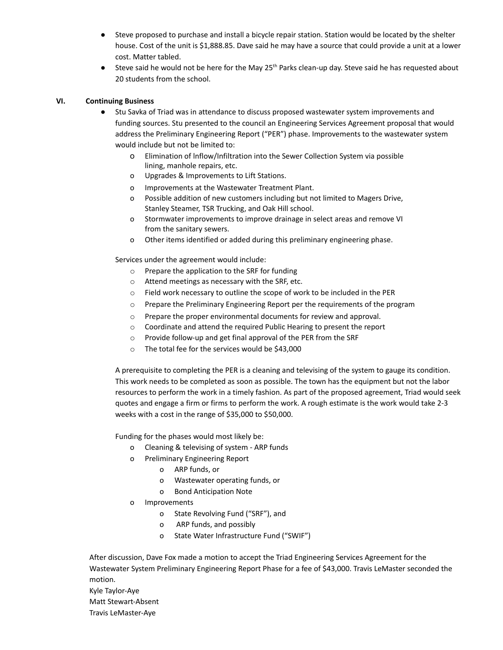- Steve proposed to purchase and install a bicycle repair station. Station would be located by the shelter house. Cost of the unit is \$1,888.85. Dave said he may have a source that could provide a unit at a lower cost. Matter tabled.
- $\bullet$  Steve said he would not be here for the May 25<sup>th</sup> Parks clean-up day. Steve said he has requested about 20 students from the school.

### **VI. Continuing Business**

- Stu Savka of Triad was in attendance to discuss proposed wastewater system improvements and funding sources. Stu presented to the council an Engineering Services Agreement proposal that would address the Preliminary Engineering Report ("PER") phase. Improvements to the wastewater system would include but not be limited to:
	- o Elimination of lnflow/Infiltration into the Sewer Collection System via possible lining, manhole repairs, etc.
	- o Upgrades & Improvements to Lift Stations.
	- o Improvements at the Wastewater Treatment Plant.
	- o Possible addition of new customers including but not limited to Magers Drive, Stanley Steamer, TSR Trucking, and Oak Hill school.
	- o Stormwater improvements to improve drainage in select areas and remove VI from the sanitary sewers.
	- o Other items identified or added during this preliminary engineering phase.

Services under the agreement would include:

- o Prepare the application to the SRF for funding
- o Attend meetings as necessary with the SRF, etc.
- o Field work necessary to outline the scope of work to be included in the PER
- o Prepare the Preliminary Engineering Report per the requirements of the program
- o Prepare the proper environmental documents for review and approval.
- o Coordinate and attend the required Public Hearing to present the report
- o Provide follow-up and get final approval of the PER from the SRF
- o The total fee for the services would be \$43,000

A prerequisite to completing the PER is a cleaning and televising of the system to gauge its condition. This work needs to be completed as soon as possible. The town has the equipment but not the labor resources to perform the work in a timely fashion. As part of the proposed agreement, Triad would seek quotes and engage a firm or firms to perform the work. A rough estimate is the work would take 2-3 weeks with a cost in the range of \$35,000 to \$50,000.

Funding for the phases would most likely be:

- o Cleaning & televising of system ARP funds
- o Preliminary Engineering Report
	- o ARP funds, or
		- o Wastewater operating funds, or
		- o Bond Anticipation Note
- o Improvements
	- o State Revolving Fund ("SRF"), and
	- o ARP funds, and possibly
	- o State Water Infrastructure Fund ("SWIF")

After discussion, Dave Fox made a motion to accept the Triad Engineering Services Agreement for the Wastewater System Preliminary Engineering Report Phase for a fee of \$43,000. Travis LeMaster seconded the motion. Kyle Taylor-Aye

Matt Stewart-Absent

Travis LeMaster-Aye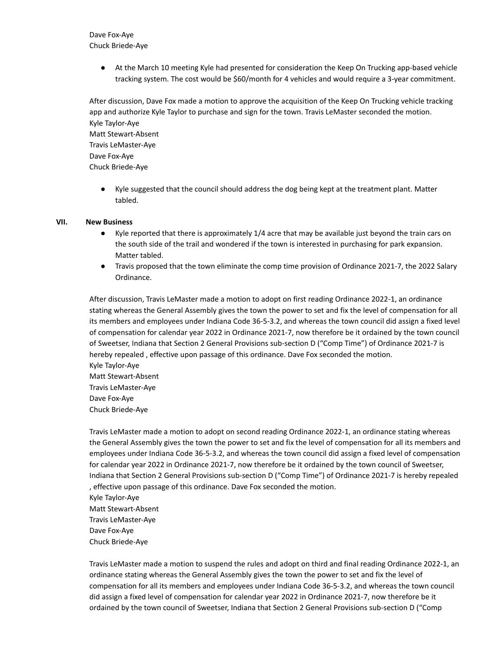Dave Fox-Aye Chuck Briede-Aye

> ● At the March 10 meeting Kyle had presented for consideration the Keep On Trucking app-based vehicle tracking system. The cost would be \$60/month for 4 vehicles and would require a 3-year commitment.

After discussion, Dave Fox made a motion to approve the acquisition of the Keep On Trucking vehicle tracking app and authorize Kyle Taylor to purchase and sign for the town. Travis LeMaster seconded the motion. Kyle Taylor-Aye Matt Stewart-Absent Travis LeMaster-Aye Dave Fox-Aye Chuck Briede-Aye

Kyle suggested that the council should address the dog being kept at the treatment plant. Matter tabled.

#### **VII. New Business**

- Kyle reported that there is approximately 1/4 acre that may be available just beyond the train cars on the south side of the trail and wondered if the town is interested in purchasing for park expansion. Matter tabled.
- Travis proposed that the town eliminate the comp time provision of Ordinance 2021-7, the 2022 Salary Ordinance.

After discussion, Travis LeMaster made a motion to adopt on first reading Ordinance 2022-1, an ordinance stating whereas the General Assembly gives the town the power to set and fix the level of compensation for all its members and employees under Indiana Code 36-5-3.2, and whereas the town council did assign a fixed level of compensation for calendar year 2022 in Ordinance 2021-7, now therefore be it ordained by the town council of Sweetser, Indiana that Section 2 General Provisions sub-section D ("Comp Time") of Ordinance 2021-7 is hereby repealed , effective upon passage of this ordinance. Dave Fox seconded the motion. Kyle Taylor-Aye Matt Stewart-Absent Travis LeMaster-Aye Dave Fox-Aye Chuck Briede-Aye

Travis LeMaster made a motion to adopt on second reading Ordinance 2022-1, an ordinance stating whereas the General Assembly gives the town the power to set and fix the level of compensation for all its members and employees under Indiana Code 36-5-3.2, and whereas the town council did assign a fixed level of compensation for calendar year 2022 in Ordinance 2021-7, now therefore be it ordained by the town council of Sweetser, Indiana that Section 2 General Provisions sub-section D ("Comp Time") of Ordinance 2021-7 is hereby repealed , effective upon passage of this ordinance. Dave Fox seconded the motion. Kyle Taylor-Aye Matt Stewart-Absent Travis LeMaster-Aye Dave Fox-Aye Chuck Briede-Aye

Travis LeMaster made a motion to suspend the rules and adopt on third and final reading Ordinance 2022-1, an ordinance stating whereas the General Assembly gives the town the power to set and fix the level of compensation for all its members and employees under Indiana Code 36-5-3.2, and whereas the town council did assign a fixed level of compensation for calendar year 2022 in Ordinance 2021-7, now therefore be it ordained by the town council of Sweetser, Indiana that Section 2 General Provisions sub-section D ("Comp